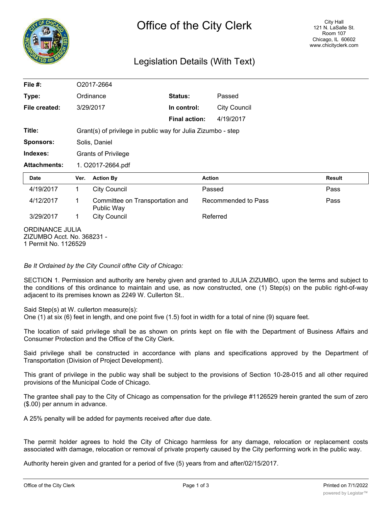

## Legislation Details (With Text)

| File #:                                                                      | O2017-2664                 |                                                              |                      |                     |               |  |
|------------------------------------------------------------------------------|----------------------------|--------------------------------------------------------------|----------------------|---------------------|---------------|--|
| Type:                                                                        | Ordinance                  |                                                              | Status:              | Passed              |               |  |
| File created:                                                                |                            | 3/29/2017                                                    | In control:          | <b>City Council</b> |               |  |
|                                                                              |                            |                                                              | <b>Final action:</b> | 4/19/2017           |               |  |
| Title:                                                                       |                            | Grant(s) of privilege in public way for Julia Zizumbo - step |                      |                     |               |  |
| Sponsors:                                                                    | Solis, Daniel              |                                                              |                      |                     |               |  |
| Indexes:                                                                     | <b>Grants of Privilege</b> |                                                              |                      |                     |               |  |
| <b>Attachments:</b>                                                          | 1. O2017-2664.pdf          |                                                              |                      |                     |               |  |
| <b>Date</b>                                                                  | Ver.                       | <b>Action By</b>                                             | <b>Action</b>        |                     | <b>Result</b> |  |
| 4/19/2017                                                                    | $\mathbf 1$                | <b>City Council</b>                                          |                      | Passed              | Pass          |  |
| 4/12/2017                                                                    | 1                          | Committee on Transportation and<br>Public Way                |                      | Recommended to Pass | Pass          |  |
| 3/29/2017                                                                    | 1                          | <b>City Council</b>                                          |                      | Referred            |               |  |
| <b>ORDINANCE JULIA</b><br>ZIZUMBO Acct. No. 368231 -<br>1 Permit No. 1126529 |                            |                                                              |                      |                     |               |  |

*Be It Ordained by the City Council ofthe City of Chicago:*

SECTION 1. Permission and authority are hereby given and granted to JULIA ZIZUMBO, upon the terms and subject to the conditions of this ordinance to maintain and use, as now constructed, one (1) Step(s) on the public right-of-way adjacent to its premises known as 2249 W. Cullerton St..

Said Step(s) at W. cullerton measure(s):

One (1) at six (6) feet in length, and one point five (1.5) foot in width for a total of nine (9) square feet.

The location of said privilege shall be as shown on prints kept on file with the Department of Business Affairs and Consumer Protection and the Office of the City Clerk.

Said privilege shall be constructed in accordance with plans and specifications approved by the Department of Transportation (Division of Project Development).

This grant of privilege in the public way shall be subject to the provisions of Section 10-28-015 and all other required provisions of the Municipal Code of Chicago.

The grantee shall pay to the City of Chicago as compensation for the privilege #1126529 herein granted the sum of zero (\$.00) per annum in advance.

A 25% penalty will be added for payments received after due date.

The permit holder agrees to hold the City of Chicago harmless for any damage, relocation or replacement costs associated with damage, relocation or removal of private property caused by the City performing work in the public way.

Authority herein given and granted for a period of five (5) years from and after/02/15/2017.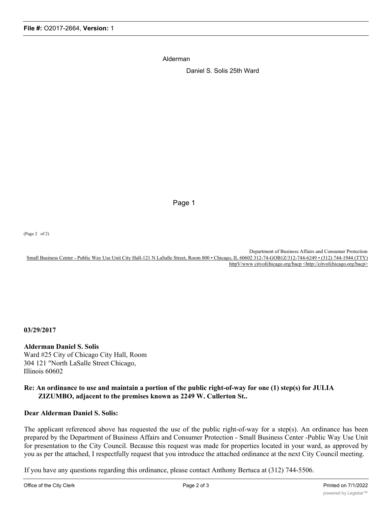Alderman

Daniel S. Solis 25th Ward

Page 1

(Page 2 of 2)

Department of Business Affairs and Consumer Protection Small Business Center - Public Way Use Unit City Hall-121 N LaSalle Street, Room 800 • Chicago, IL 60602 312-74-GOB1Z/312-744-6249 • (312) 744-1944 (TTY) httpV/www citvofchicago.org/bacp <http://citvofchicago.org/bacp>

**03/29/2017**

**Alderman Daniel S. Solis** Ward #25 City of Chicago City Hall, Room 304 121 "North LaSalle Street Chicago, Illinois 60602

## **Re: An ordinance to use and maintain a portion of the public right-of-way for one (1) step(s) for JULIA ZIZUMBO, adjacent to the premises known as 2249 W. Cullerton St..**

## **Dear Alderman Daniel S. Solis:**

The applicant referenced above has requested the use of the public right-of-way for a step(s). An ordinance has been prepared by the Department of Business Affairs and Consumer Protection - Small Business Center -Public Way Use Unit for presentation to the City Council. Because this request was made for properties located in your ward, as approved by you as per the attached, I respectfully request that you introduce the attached ordinance at the next City Council meeting.

If you have any questions regarding this ordinance, please contact Anthony Bertuca at (312) 744-5506.